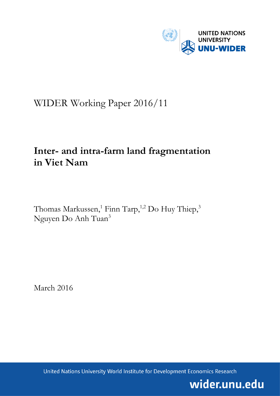

# WIDER Working Paper 2016/11

# **Inter- and intra-farm land fragmentation in Viet Nam**

Thomas Markussen,<sup>1</sup> Finn Tarp,<sup>1,2</sup> Do Huy Thiep,<sup>3</sup> Nguyen Do Anh Tuan<sup>3</sup>

March 2016

United Nations University World Institute for Development Economics Research

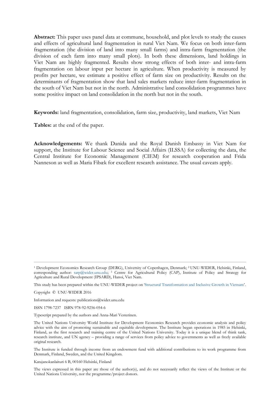**Abstract:** This paper uses panel data at commune, household, and plot levels to study the causes and effects of agricultural land fragmentation in rural Viet Nam. We focus on both inter-farm fragmentation (the division of land into many small farms) and intra-farm fragmentation (the division of each farm into many small plots). In both these dimensions, land holdings in Viet Nam are highly fragmented. Results show strong effects of both inter- and intra-farm fragmentation on labour input per hectare in agriculture. When productivity is measured by profits per hectare, we estimate a positive effect of farm size on productivity. Results on the determinants of fragmentation show that land sales markets reduce inter-farm fragmentation in the south of Viet Nam but not in the north. Administrative land consolidation programmes have some positive impact on land consolidation in the north but not in the south.

**Keywords:** land fragmentation, consolidation, farm size, productivity, land markets, Viet Nam

**Tables:** at the end of the paper.

**Acknowledgements:** We thank Danida and the Royal Danish Embassy in Viet Nam for support, the Institute for Labour Science and Social Affairs (ILSSA) for collecting the data, the Central Institute for Economic Management (CIEM) for research cooperation and Frida Nanneson as well as Maria Fibæk for excellent research assistance. The usual caveats apply.

Copyright © UNU-WIDER 2016

Information and requests: publications@wider.unu.edu

ISSN 1798-7237 ISBN 978-92-9256-054-6

Typescript prepared by the authors and Anna-Mari Vesterinen.

The Institute is funded through income from an endowment fund with additional contributions to its work programme from Denmark, Finland, Sweden, and the United Kingdom.

Katajanokanlaituri 6 B, 00160 Helsinki, Finland

The views expressed in this paper are those of the author(s), and do not necessarily reflect the views of the Institute or the United Nations University, nor the programme/project donors.

<sup>1</sup> Development Economics Research Group (DERG), University of Copenhagen, Denmark; <sup>2</sup> UNU-WIDER, Helsinki, Finland, corresponding author: [tarp@wider.unu.edu;](mailto:tarp@wider.unu.edu) <sup>3</sup> Centre for Agricultural Policy (CAP), Institute of Policy and Strategy for Agriculture and Rural Development (IPSARD), Hanoi, Viet Nam.

This study has been prepared within the UNU-WIDER project on '[Structural Transformation and Inclusive Growth in Vietnam](https://www.wider.unu.edu/node/372)'.

The United Nations University World Institute for Development Economics Research provides economic analysis and policy advice with the aim of promoting sustainable and equitable development. The Institute began operations in 1985 in Helsinki, Finland, as the first research and training centre of the United Nations University. Today it is a unique blend of think tank, research institute, and UN agency – providing a range of services from policy advice to governments as well as freely available original research.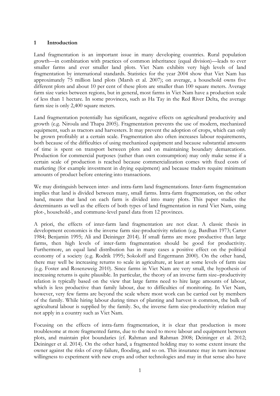# **1 Introduction**

Land fragmentation is an important issue in many developing countries. Rural population growth—in combination with practices of common inheritance (equal division)—leads to ever smaller farms and ever smaller land plots. Viet Nam exhibits very high levels of land fragmentation by international standards. Statistics for the year 2004 show that Viet Nam has approximately 75 million land plots (Marsh et al. 2007); on average, a household owns five different plots and about 10 per cent of these plots are smaller than 100 square meters. Average farm size varies between regions, but in general, most farms in Viet Nam have a production scale of less than 1 hectare. In some provinces, such as Ha Tay in the Red River Delta, the average farm size is only 2,400 square meters.

Land fragmentation potentially has significant, negative effects on agricultural productivity and growth (e.g. Niroula and Thapa 2005). Fragmentation prevents the use of modern, mechanized equipment, such as tractors and harvesters. It may prevent the adoption of crops, which can only be grown profitably at a certain scale. Fragmentation also often increases labour requirements, both because of the difficulties of using mechanized equipment and because substantial amounts of time is spent on transport between plots and on maintaining boundary demarcations. Production for commercial purposes (rather than own consumption) may only make sense if a certain scale of production is reached because commercialization comes with fixed costs of marketing (for example investment in drying equipment) and because traders require minimum amounts of product before entering into transactions.

We may distinguish between inter- and intra-farm land fragmentations. Inter-farm fragmentation implies that land is divided between many, small farms. Intra-farm fragmentation, on the other hand, means that land on each farm is divided into many plots. This paper studies the determinants as well as the effects of both types of land fragmentation in rural Viet Nam, using plot-, household-, and commune-level panel data from 12 provinces.

A priori, the effects of inter-farm land fragmentation are not clear. A classic thesis in development economics is the inverse farm size-productivity relation (e.g. Bardhan 1973; Carter 1984; Benjamin 1995; Ali and Deininger 2014). If small farms are more productive than large farms, then high levels of inter-farm fragmentation should be good for productivity. Furthermore, an equal land distribution has in many cases a positive effect on the political economy of a society (e.g. Rodrik 1995; Sokoloff and Engermann 2000). On the other hand, there may well be increasing returns to scale in agriculture, at least at some levels of farm size (e.g. Foster and Rosenzweig 2010). Since farms in Viet Nam are very small, the hypothesis of increasing returns is quite plausible. In particular, the theory of an inverse farm size–productivity relation is typically based on the view that large farms need to hire large amounts of labour, which is less productive than family labour, due to difficulties of monitoring. In Viet Nam, however, very few farms are beyond the scale where most work can be carried out by members of the family. While hiring labour during times of planting and harvest is common, the bulk of agricultural labour is supplied by the family. So, the inverse farm size-productivity relation may not apply in a country such as Viet Nam.

Focusing on the effects of intra-farm fragmentation, it is clear that production is more troublesome at more fragmented farms, due to the need to move labour and equipment between plots, and maintain plot boundaries (cf. Rahman and Rahman 2008; Deininger et al. 2012; Deininger et al. 2014). On the other hand, a fragmented holding may to some extent insure the owner against the risks of crop failure, flooding, and so on. This insurance may in turn increase willingness to experiment with new crops and other technologies and may in that sense also have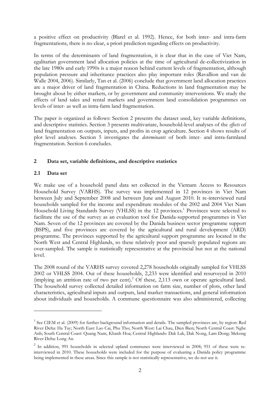a positive effect on productivity (Blarel et al. 1992). Hence, for both inter- and intra-farm fragmentations, there is no clear, a priori prediction regarding effects on productivity.

In terms of the determinants of land fragmentation, it is clear that in the case of Viet Nam, egalitarian government land allocation policies at the time of agricultural de-collectivization in the late 1980s and early 1990s is a major reason behind current levels of fragmentation, although population pressure and inheritance practices also play important roles (Ravallion and van de Walle 2004, 2006). Similarly, Tan et al. (2006) conclude that government land allocation practices are a major driver of land fragmentation in China. Reductions in land fragmentation may be brought about by either markets, or by government and community interventions. We study the effects of land sales and rental markets and government land consolidation programmes on levels of inter- as well as intra-farm land fragmentation.

The paper is organized as follows: Section 2 presents the dataset used, key variable definitions, and descriptive statistics. Section 3 presents multivariate, household-level analyses of the *effects* of land fragmentation on outputs, inputs, and profits in crop agriculture. Section 4 shows results of plot level analyses. Section 5 investigates the *determinants* of both inter- and intra-farmland fragmentation. Section 6 concludes.

# **2 Data set, variable definitions, and descriptive statistics**

#### **2.1 Data set**

<u>.</u>

We make use of a household panel data set collected in the Vietnam Access to Resources Household Survey (VARHS). The survey was implemented in 12 provinces in Viet Nam between July and September 2008 and between June and August 2010. It re-interviewed rural households sampled for the income and expenditure modules of the 2002 and 2004 Viet Nam Household Living Standards Survey (VHLSS) in the 12 provinces.<sup>1</sup> Provinces were selected to facilitate the use of the survey as an evaluation tool for Danida-supported programmes in Viet Nam. Seven of the 12 provinces are covered by the Danida business sector programme support (BSPS), and five provinces are covered by the agricultural and rural development (ARD) programme. The provinces supported by the agricultural support programme are located in the North West and Central Highlands, so these relatively poor and sparsely populated regions are over-sampled. The sample is statistically representative at the provincial but not at the national level.

The 2008 round of the VARHS survey covered 2,278 households originally sampled for VHLSS 2002 or VHLSS 2004. Out of these households, 2,233 were identified and resurveyed in 2010 (implying an attrition rate of two per cent).<sup>2</sup> Of these, 2,113 own or operate agricultural land. The household survey collected detailed information on farm size, number of plots, other land characteristics, agricultural inputs and outputs, land market transactions, and general information about individuals and households. A commune questionnaire was also administered, collecting

<sup>&</sup>lt;sup>1</sup> See CIEM et al. (2009) for further background information and details. The sampled provinces are, by region: Red River Delta: Ha Tay; North East: Lao Cai, Phu Tho; North West: Lai Chau, Dien Bien; North Central Coast: Nghe Anh; South Central Coast: Quang Nam, Khanh Hoa; Central Highlands: Dak Lak, Dak Nong, Lam Dong; Mekong River Delta: Long An.

<sup>&</sup>lt;sup>2</sup> In addition, 991 households in selected upland communes were interviewed in 2008; 951 of these were reinterviewed in 2010. These households were included for the purpose of evaluating a Danida policy programme being implemented in these areas. Since this sample is not statistically representative, we do not use it.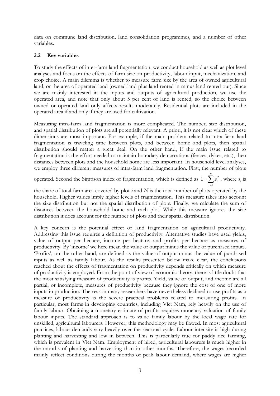data on commune land distribution, land consolidation programmes, and a number of other variables.

# **2.2 Key variables**

To study the effects of inter-farm land fragmentation, we conduct household as well as plot level analyses and focus on the effects of farm size on productivity, labour input, mechanization, and crop choice. A main dilemma is whether to measure farm size by the area of owned agricultural land, or the area of operated land (owned land plus land rented in minus land rented out). Since we are mainly interested in the inputs and outputs of agricultural production, we use the operated area, and note that only about 5 per cent of land is rented, so the choice between owned or operated land only affects results moderately. Residential plots are included in the operated area if and only if they are used for cultivation.

Measuring intra-farm land fragmentation is more complicated. The number, size distribution, and spatial distribution of plots are all potentially relevant. A priori, it is not clear which of these dimensions are most important. For example, if the main problem related to intra-farm land fragmentation is traveling time between plots, and between home and plots, then spatial distribution should matter a great deal. On the other hand, if the main issue related to fragmentation is the effort needed to maintain boundary demarcations (fences, dykes, etc.), then distances between plots and the household home are less important. In household level analyses, we employ three different measures of intra-farm land fragmentation. First, the number of plots

operated. Second the Simpson index of fragmentation, which is defined as  $1-\sum s_i^2$ 1 1 *N i i*  $-\sum s_i^2$ , where  $s_i$  is

the share of total farm area covered by plot *i* and *N* is the total number of plots operated by the household. Higher values imply higher levels of fragmentation. This measure takes into account the size distribution but not the spatial distribution of plots. Finally, we calculate the sum of distances between the household home and each plot. While this measure ignores the size distribution it does account for the number of plots and their spatial distribution.

A key concern is the potential effect of land fragmentation on agricultural productivity. Addressing this issue requires a definition of productivity. Alternative studies have used yields, value of output per hectare, income per hectare, and profits per hectare as measures of productivity. By 'income' we here mean the value of output minus the value of purchased inputs. 'Profits', on the other hand, are defined as the value of output minus the value of purchased inputs as well as family labour. As the results presented below make clear, the conclusions reached about the effects of fragmentation on productivity depends critically on which measure of productivity is employed. From the point of view of economic theory, there is little doubt that the most satisfying measure of productivity is profits. Yield, value of output, and income are all partial, or incomplete, measures of productivity because they ignore the cost of one of more inputs in production. The reason many researchers have nevertheless declined to use profits as a measure of productivity is the severe practical problems related to measuring profits. In particular, most farms in developing countries, including Viet Nam, rely heavily on the use of family labour. Obtaining a monetary estimate of profits requires monetary valuation of family labour inputs. The standard approach is to value family labour by the local wage rate for unskilled, agricultural labourers. However, this methodology may be flawed. In most agricultural practices, labour demands vary heavily over the seasonal cycle. Labour intensity is high during planting and harvesting and low in between. This is particularly true for paddy rice farming, which is prevalent in Viet Nam. Employment of hired, agricultural labourers is much higher in the months of planting and harvesting than in other months. Therefore, the wages recorded mainly reflect conditions during the months of peak labour demand, where wages are higher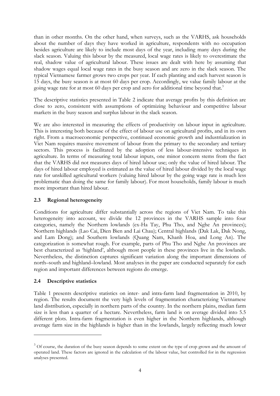than in other months. On the other hand, when surveys, such as the VARHS, ask households about the number of days they have worked in agriculture, respondents with no occupation besides agriculture are likely to include most days of the year, including many days during the slack season. Valuing this labour by the measured, local wage rates is likely to overestimate the real, shadow value of agricultural labour. These issues are dealt with here by assuming that shadow wages equal local wage rates in the busy season and are zero in the slack season. The typical Vietnamese farmer grows two crops per year. If each planting and each harvest season is 15 days, the busy season is at most 60 days per crop. Accordingly, we value family labour at the going wage rate for at most 60 days per crop and zero for additional time beyond that.<sup>3</sup>

The descriptive statistics presented in Table 2 indicate that average profits by this definition are close to zero, consistent with assumptions of optimizing behaviour and competitive labour markets in the busy season and surplus labour in the slack season.

We are also interested in measuring the effects of productivity on labour input in agriculture. This is interesting both because of the effect of labour use on agricultural profits, and in its own right. From a macroeconomic perspective, continued economic growth and industrialization in Viet Nam requires massive movement of labour from the primary to the secondary and tertiary sectors. This process is facilitated by the adoption of less labour-intensive techniques in agriculture. In terms of measuring total labour inputs, one minor concern stems from the fact that the VARHS did not measures days of hired labour use; only the value of hired labour. The days of hired labour employed is estimated as the value of hired labour divided by the local wage rate for unskilled agricultural workers (valuing hired labour by the going wage rate is much less problematic than doing the same for family labour). For most households, family labour is much more important than hired labour.

# **2.3 Regional heterogeneity**

Conditions for agriculture differ substantially across the regions of Viet Nam. To take this heterogeneity into account, we divide the 12 provinces in the VARHS sample into four categories, namely the Northern lowlands (ex-Ha Tay, Phu Tho, and Nghe An provinces); Northern highlands (Lao Cai, Dien Bien and Lai Chau); Central highlands (Dak Lak, Dak Nong, and Lam Dong); and Southern lowlands (Quang Nam, Khanh Hoa, and Long An). The categorization is somewhat rough. For example, parts of Phu Tho and Nghe An provinces are best characterized as 'highland', although most people in these provinces live in the lowlands. Nevertheless, the distinction captures significant variation along the important dimensions of north–south and highland–lowland. Most analyses in the paper are conducted separately for each region and important differences between regions do emerge.

# **2.4 Descriptive statistics**

-

Table 1 presents descriptive statistics on inter- and intra-farm land fragmentation in 2010, by region. The results document the very high levels of fragmentation characterizing Vietnamese land distribution, especially in northern parts of the country. In the northern plains, median farm size is less than a quarter of a hectare. Nevertheless, farm land is on average divided into 5.5 different plots. Intra-farm fragmentation is even higher in the Northern highlands, although average farm size in the highlands is higher than in the lowlands, largely reflecting much lower

 $3$  Of course, the duration of the busy season depends to some extent on the type of crop grown and the amount of operated land. These factors are ignored in the calculation of the labour value, but controlled for in the regression analyses presented.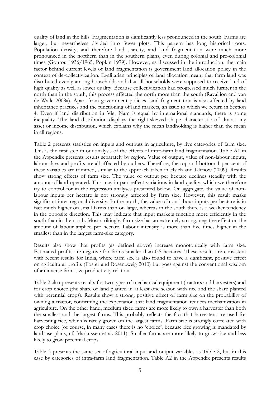quality of land in the hills. Fragmentation is significantly less pronounced in the south. Farms are larger, but nevertheless divided into fewer plots. This pattern has long historical roots. Population density, and therefore land scarcity, and land fragmentation were much more pronounced in the northern than in the southern plains, even during colonial and pre-colonial times (Gourou 1936/1965; Popkin 1979). However, as discussed in the introduction, the main factor behind current levels of land fragmentation is government land allocation policy in the context of de-collectivization. Egalitarian principles of land allocation meant that farm land was distributed evenly among households and that all households were supposed to receive land of high quality as well as lower quality. Because collectivization had progressed much further in the north than in the south, this process affected the north more than the south (Ravallion and van de Walle 2008a). Apart from government policies, land fragmentation is also affected by land inheritance practices and the functioning of land markets, an issue to which we return in Section 4. Even if land distribution in Viet Nam is equal by international standards, there is some inequality. The land distribution displays the right-skewed shape characteristic of almost any asset or income distribution, which explains why the mean landholding is higher than the mean in all regions.

Table 2 presents statistics on inputs and outputs in agriculture, by five categories of farm size. This is the first step in our analysis of the effects of inter-farm land fragmentation. Table A1 in the Appendix presents results separately by region. Value of output, value of non-labour inputs, labour days and profits are all affected by outliers. Therefore, the top and bottom 1 per cent of these variables are trimmed, similar to the approach taken in Hsieh and Klenow (2009). Results show strong effects of farm size. The value of output per hectare declines steadily with the amount of land operated. This may in part reflect variations in land quality, which we therefore try to control for in the regression analyses presented below. On aggregate, the value of nonlabour inputs per hectare is not strongly affected by farm size. However, this result masks significant inter-regional diversity. In the north, the value of non-labour inputs per hectare is in fact much higher on small farms than on large, whereas in the south there is a weaker tendency in the opposite direction. This may indicate that input markets function more efficiently in the south than in the north. Most strikingly, farm size has an extremely strong, negative effect on the amount of labour applied per hectare. Labour intensity is more than five times higher in the smallest than in the largest farm-size category.

Results also show that profits (as defined above) increase monotonically with farm size. Estimated profits are negative for farms smaller than 0.5 hectares. These results are consistent with recent results for India, where farm size is also found to have a significant, positive effect on agricultural profits (Foster and Rosenzweig 2010) but goes against the conventional wisdom of an inverse farm-size productivity relation.

Table 2 also presents results for two types of mechanical equipment (tractors and harvesters) and for crop choice (the share of land planted in at least one season with rice and the share planted with perennial crops). Results show a strong, positive effect of farm size on the probability of owning a tractor, confirming the expectation that land fragmentation reduces mechanization in agriculture. On the other hand, medium sized farms are more likely to own a harvester than both the smallest and the largest farms. This probably reflects the fact that harvesters are used for harvesting rice, which is rarely grown on the largest farms. Farm size is strongly correlated with crop choice (of course, in many cases there is no 'choice', because rice growing is mandated by land use plans, cf. Markussen et al. 2011). Smaller farms are more likely to grow rice and less likely to grow perennial crops.

Table 3 presents the same set of agricultural input and output variables as Table 2, but in this case by categories of intra-farm land fragmentation. Table A2 in the Appendix presents results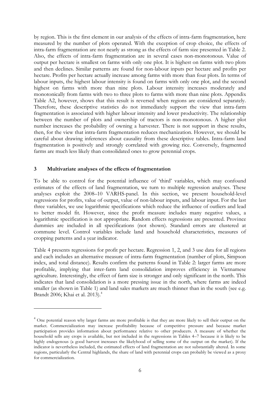by region. This is the first element in our analysis of the effects of intra-farm fragmentation, here measured by the number of plots operated. With the exception of crop choice, the effects of intra-farm fragmentation are not nearly as strong as the effects of farm size presented in Table 2. Also, the effects of intra-farm fragmentation are in several cases non-monotonous. Value of output per hectare is smallest on farms with only one plot. It is highest on farms with two plots and then declines. Similar patterns are found for non-labour inputs per hectare and profits per hectare. Profits per hectare actually increase among farms with more than four plots. In terms of labour inputs, the highest labour intensity is found on farms with only one plot, and the second highest on farms with more than nine plots. Labour intensity increases moderately and monotonically from farms with two to three plots to farms with more than nine plots. Appendix Table A2, however, shows that this result is reversed when regions are considered separately. Therefore, these descriptive statistics do not immediately support the view that intra-farm fragmentation is associated with higher labour intensity and lower productivity. The relationship between the number of plots and ownership of tractors is non-monotonous. A higher plot number increases the probability of owning a harvester. There is not support in these results, then, for the view that intra-farm fragmentation reduces mechanization. However, we should be careful about drawing inferences about causality from these descriptive tables. Intra-farm land fragmentation is positively and strongly correlated with growing rice. Conversely, fragmented farms are much less likely than consolidated ones to grow perennial crops.

#### **3 Multivariate analyses of the effects of fragmentation**

-

To be able to control for the potential influence of 'third' variables, which may confound estimates of the effects of land fragmentation, we turn to multiple regression analyses. These analyses exploit the 2008–10 VARHS-panel. In this section, we present household-level regressions for profits, value of output, value of non-labour inputs, and labour input. For the last three variables, we use logarithmic specifications which reduce the influence of outliers and lead to better model fit. However, since the profit measure includes many negative values, a logarithmic specification is not appropriate. Random effects regressions are presented. Province dummies are included in all specifications (not shown). Standard errors are clustered at commune level. Control variables include land and household characteristics, measures of cropping patterns and a year indicator.

Table 4 presents regressions for profit per hectare. Regression 1, 2, and 3 use data for all regions and each includes an alternative measure of intra-farm fragmentation (number of plots, Simpson index, and total distance). Results confirm the patterns found in Table 2: larger farms are more profitable, implying that inter-farm land consolidation improves efficiency in Vietnamese agriculture. Interestingly, the effect of farm size is stronger and only significant in the north. This indicates that land consolidation is a more pressing issue in the north, where farms are indeed smaller (as shown in Table 1) and land sales markets are much thinner than in the south (see e.g. Brandt 2006; Khai et al. 2013).<sup>4</sup>

<sup>&</sup>lt;sup>4</sup> One potential reason why larger farms are more profitable is that they are more likely to sell their output on the market. Commercialization may increase profitability because of competitive pressure and because market participation provides information about performance relative to other producers. A measure of whether the household sells any crops is available, but not included in the regressions in Tables 4–7 because it is likely to be highly endogenous (a good harvest increases the likelyhood of selling some of the output on the market). If the indicator is nevertheless included, the estimated effects of land fragmentation are not substantially altered. In some regions, particularly the Central highlands, the share of land with perennial crops can probably be viewed as a proxy for commercialization.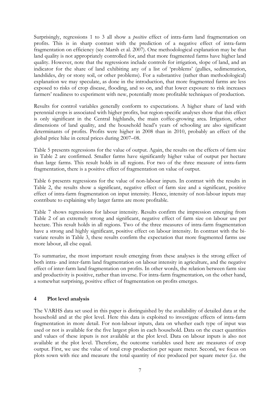Surprisingly, regressions 1 to 3 all show a *positive* effect of intra-farm land fragmentation on profits. This is in sharp contrast with the prediction of a negative effect of intra-farm fragmentation on efficiency (see Marsh et al. 2007). One methodological explanation may be that land quality is not appropriately controlled for, and that more fragmented farms have higher land quality. However, note that the regressions include controls for irrigation, slope of land, and an indicator for the share of land exhibiting any of a list of 'problems' (gullies, sedimentation, landslides, dry or stony soil, or other problems). For a substantive (rather than methodological) explanation we may speculate, as done in the introduction, that more fragmented farms are less exposed to risks of crop disease, flooding, and so on, and that lower exposure to risk increases farmers' readiness to experiment with new, potentially more profitable techniques of production.

Results for control variables generally conform to expectations. A higher share of land with perennial crops is associated with higher profits, but region-specific analyses show that this effect is only significant in the Central highlands, the main coffee-growing area. Irrigation, other dimensions of land quality, and the household head's years of schooling are also significant determinants of profits. Profits were higher in 2008 than in 2010, probably an effect of the global price hike in cereal prices during 2007–08.

Table 5 presents regressions for the value of output. Again, the results on the effects of farm size in Table 2 are confirmed. Smaller farms have significantly higher value of output per hectare than large farms. This result holds in all regions. For two of the three measure of intra-farm fragmentation, there is a positive effect of fragmentation on value of output.

Table 6 presents regressions for the value of non-labour inputs. In contrast with the results in Table 2, the results show a significant, negative effect of farm size and a significant, positive effect of intra-farm fragmentation on input intensity. Hence, intensity of non-labour inputs may contribute to explaining why larger farms are more profitable.

Table 7 shows regressions for labour intensity. Results confirm the impression emerging from Table 2 of an extremely strong and significant, negative effect of farm size on labour use per hectare. This result holds in all regions. Two of the three measures of intra-farm fragmentation have a strong and highly significant, positive effect on labour intensity. In contrast with the bivariate results in Table 3, these results confirm the expectation that more fragmented farms use more labour, all else equal.

To summarize, the most important result emerging from these analyses is the strong effect of both intra- and inter-farm land fragmentation on labour intensity in agriculture, and the negative effect of inter-farm land fragmentation on profits. In other words, the relation between farm size and productivity is positive, rather than inverse. For intra-farm fragmentation, on the other hand, a somewhat surprising, positive effect of fragmentation on profits emerges.

# **4 Plot level analysis**

The VARHS data set used in this paper is distinguished by the availability of detailed data at the household and at the plot level. Here this data is exploited to investigate effects of intra-farm fragmentation in more detail. For non-labour inputs, data on whether each type of input was used or not is available for the five largest plots in each household. Data on the exact quantities and values of these inputs is not available at the plot level. Data on labour inputs is also not available at the plot level. Therefore, the outcome variables used here are measures of crop output. First, we use the value of total crop production per square meter. Second, we focus on plots sown with rice and measure the total quantity of rice produced per square meter (i.e. the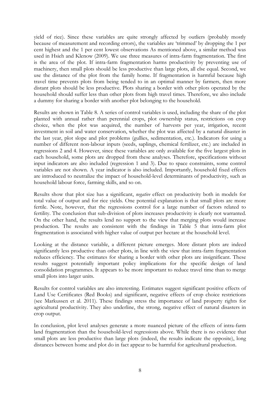yield of rice). Since these variables are quite strongly affected by outliers (probably mostly because of measurement and recording errors), the variables are 'trimmed' by dropping the 1 per cent highest and the 1 per cent lowest observations As mentioned above, a similar method was used in Hsieh and Klenow (2009). We use three measures of intra-farm fragmentation. The first is the area of the plot. If intra-farm fragmentation harms productivity by preventing use of machinery, then small plots should be less productive than large plots, all else equal. Second, we use the distance of the plot from the family home. If fragmentation is harmful because high travel time prevents plots from being tended to in an optimal manner by farmers, then more distant plots should be less productive. Plots sharing a border with other plots operated by the household should suffer less than other plots from high travel times. Therefore, we also include a dummy for sharing a border with another plot belonging to the household.

Results are shown in Table 8. A series of control variables is used, including the share of the plot planted with annual rather than perennial crops, plot ownership status, restrictions on crop choice, when the plot was acquired, the number of harvests per year, irrigation, recent investment in soil and water conservation, whether the plot was affected by a natural disaster in the last year, plot slope and plot problems (gullies, sedimentation, etc.). Indicators for using a number of different non-labour inputs (seeds, saplings, chemical fertilizer, etc.) are included in regressions 2 and 4. However, since these variables are only available for the five largest plots in each household, some plots are dropped from these analyses. Therefore, specifications without input indicators are also included (regression 1 and 3). Due to space constraints, some control variables are not shown. A year indicator is also included. Importantly, household fixed effects are introduced to neutralize the impact of household-level determinants of productivity, such as household labour force, farming skills, and so on.

Results show that plot size has a significant, *negative* effect on productivity both in models for total value of output and for rice yields. One potential explanation is that small plots are more fertile. Note, however, that the regressions control for a large number of factors related to fertility. The conclusion that sub-division of plots increases productivity is clearly not warranted. On the other hand, the results lend no support to the view that merging plots would increase production. The results are consistent with the findings in Table 5 that intra-farm plot fragmentation is associated with higher value of output per hectare at the household level.

Looking at the distance variable, a different picture emerges. More distant plots are indeed significantly less productive than other plots, in line with the view that intra-farm fragmentation reduces efficiency. The estimates for sharing a border with other plots are insignificant. These results suggest potentially important policy implications for the specific design of land consolidation programmes. It appears to be more important to reduce travel time than to merge small plots into larger units.

Results for control variables are also interesting. Estimates suggest significant positive effects of Land Use Certificates (Red Books) and significant, negative effects of crop choice restrictions (see Markussen et al. 2011). These findings stress the importance of land property rights for agricultural productivity. They also underline, the strong, negative effect of natural disasters in crop output.

In conclusion, plot level analyses generate a more nuanced picture of the effects of intra-farm land fragmentation than the household-level regressions above. While there is no evidence that small plots are less productive than large plots (indeed, the results indicate the opposite), long distances between home and plot do in fact appear to be harmful for agricultural production.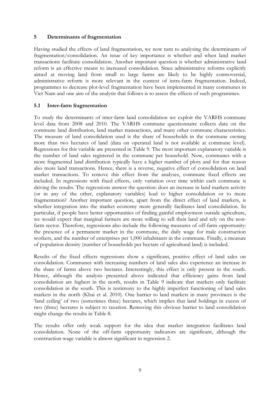# **5 Determinants of fragmentation**

Having studied the effects of land fragmentation, we now turn to analysing the determinants of fragmentation/consolidation. An issue of key importance is whether and when land market transactions facilitate consolidation. Another important question is whether administrative land reform is an effective means to increased consolidation. Since administrative reforms explicitly aimed at moving land from small to large farms are likely to be highly controversial, administrative reform is more relevant in the context of intra-farm fragmentation. Indeed, programmes to decrease plot-level fragmentation have been implemented in many communes in Viet Nam and one aim of the analysis that follows is to assess the effects of such programmes.

# **5.1 Inter-farm fragmentation**

To study the determinants of inter-farm land consolidation we exploit the VARHS commune level data from 2008 and 2010. The VARHS commune questionnaire collects data on the commune land distribution, land market transactions, and many other commune characteristics. The measure of land consolidation used is the share of households in the commune owning more than two hectares of land (data on operated land is not available at commune level). Regressions for this variable are presented in Table 9. The most important explanatory variable is the number of land sales registered in the commune per household. Now, communes with a more fragmented land distribution typically have a higher number of plots and for that reason also more land transactions. Hence, there is a reverse, negative effect of consolidation on land market transactions. To remove this effect from the analyses, commune fixed effects are included. In regressions with fixed effects, only variation over time within each commune is driving the results. The regressions answer the question: does an increase in land markets activity (or in any of the other, explanatory variables) lead to higher consolidation or to more fragmentation? Another important question, apart from the direct effect of land markets, is whether integration into the market economy more generally facilitates land consolidation. In particular, if people have better opportunities of finding gainful employment outside agriculture, we would expect that marginal farmers are more willing to sell their land and rely on the nonfarm sector. Therefore, regressions also include the following measures of off-farm opportunity: the presence of a permanent market in the commune, the daily wage for male construction workers, and the number of enterprises per 1,000 inhabitants in the commune. Finally, a measure of population density (number of households per hectare of agricultural land) is included.

Results of the fixed effects regressions show a significant, positive effect of land sales on consolidation. Communes with increasing numbers of land sales also experience an increase in the share of farms above two hectares. Interestingly, this effect is only present in the south. Hence, although the analysis presented above indicated that efficiency gains from land consolidation are highest in the north, results in Table 9 indicate that markets only facilitate consolidation in the south. This is testimony to the highly imperfect functioning of land sales markets in the north (Khai et al. 2010). One barrier to land markets in many provinces is the 'land ceiling' of two (sometimes three) hectares, which implies that land holdings in excess of two (three) hectares is subject to taxation. Removing this obvious barrier to land consolidation might change the results in Table 8.

The results offer only weak support for the idea that market integration facilitates land consolidation. None of the off-farm opportunity indicators are significant, although the construction wage variable is almost significant in regression 2.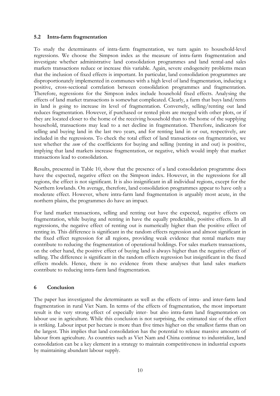# **5.2 Intra-farm fragmentation**

To study the determinants of intra-farm fragmentation, we turn again to household-level regressions. We choose the Simpson index as the measure of intra-farm fragmentation and investigate whether administrative land consolidation programmes and land rental-and sales markets transactions reduce or increase this variable. Again, severe endogeneity problems mean that the inclusion of fixed effects is important. In particular, land consolidation programmes are disproportionately implemented in communes with a high level of land fragmentation, inducing a positive, cross-sectional correlation between consolidation programmes and fragmentation. Therefore, regressions for the Simpson index include household fixed effects. Analysing the effects of land market transactions is somewhat complicated. Clearly, a farm that buys land/rents in land is going to increase its level of fragmentation. Conversely, selling/renting out land reduces fragmentation. However, if purchased or rented plots are merged with other plots, or if they are located closer to the home of the receiving household than to the home of the supplying household, transactions may lead to a net decline in fragmentation. Therefore, indicators for selling and buying land in the last two years, and for renting land in or out, respectively, are included in the regressions. To check the total effect of land transactions on fragmentation, we test whether the *sum* of the coefficients for buying and selling (renting in and out) is positive, implying that land markets increase fragmentation, or negative, which would imply that market transactions lead to consolidation.

Results, presented in Table 10, show that the presence of a land consolidation programme does have the expected, negative effect on the Simpson index. However, in the regressions for all regions, the effect is not significant. It is also insignificant in all individual regions, except for the Northern lowlands. On average, therefore, land consolidation programmes appear to have only a moderate effect. However, where intra-farm land fragmentation is arguably most acute, in the northern plains, the programmes do have an impact.

For land market transactions, selling and renting out have the expected, negative effects on fragmentation, while buying and renting in have the equally predictable, positive effects. In all regressions, the negative effect of renting out is numerically higher than the positive effect of renting in. This difference is significant in the random effects regression and almost significant in the fixed effect regression for all regions, providing weak evidence that rental markets may contribute to reducing the fragmentation of operational holdings. For sales markets transactions, on the other hand, the positive effect of buying land is always higher than the negative effect of selling. The difference is significant in the random effects regression but insignificant in the fixed effects models. Hence, there is no evidence from these analyses that land sales markets contribute to reducing intra-farm land fragmentation.

# **6 Conclusion**

The paper has investigated the determinants as well as the effects of intra- and inter-farm land fragmentation in rural Viet Nam. In terms of the effects of fragmentation, the most important result is the very strong effect of especially inter- but also intra-farm land fragmentation on labour use in agriculture. While this conclusion is not surprising, the estimated size of the effect is striking. Labour input per hectare is more than five times higher on the smallest farms than on the largest. This implies that land consolidation has the potential to release massive amounts of labour from agriculture. As countries such as Viet Nam and China continue to industrialize, land consolidation can be a key element in a strategy to maintain competitiveness in industrial exports by maintaining abundant labour supply.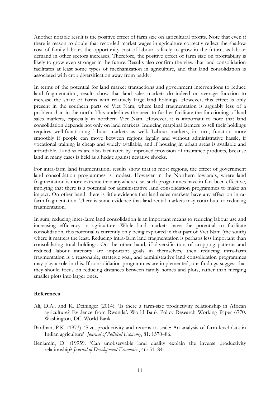Another notable result is the positive effect of farm size on agricultural profits. Note that even if there is reason to doubt that recorded market wages in agriculture correctly reflect the shadow cost of family labour, the opportunity cost of labour is likely to grow in the future, as labour demand in other sectors increases. Therefore, the positive effect of farm size on profitability is likely to grow even stronger in the future. Results also confirm the view that land consolidation facilitates at least some types of mechanization in agriculture, and that land consolidation is associated with crop diversification away from paddy.

In terms of the potential for land market transactions and government interventions to reduce land fragmentation, results show that land sales markets do indeed on average function to increase the share of farms with relatively large land holdings. However, this effect is only present in the southern parts of Viet Nam, where land fragmentation is arguably less of a problem than in the north. This underlines the need to further facilitate the functioning of land sales markets, especially in northern Viet Nam. However, it is important to note that land consolidation depends not only on land markets. Inducing marginal farmers to sell their holdings requires well-functioning labour markets as well. Labour markets, in turn, function more smoothly if people can move between regions legally and without administrative hassle, if vocational training is cheap and widely available, and if housing in urban areas is available and affordable. Land sales are also facilitated by improved provision of insurance products, because land in many cases is held as a hedge against negative shocks.

For intra-farm land fragmentation, results show that in most regions, the effect of government land consolidation programmes is modest. However in the Northern lowlands, where land fragmentation is more extreme than anywhere else, such programmes have in fact been effective, implying that there is a potential for administrative land consolidation programmes to make an impact. On other hand, there is little evidence that land sales markets have any effect on intrafarm fragmentation. There is some evidence that land rental markets may contribute to reducing fragmentation.

In sum, reducing inter-farm land consolidation is an important means to reducing labour use and increasing efficiency in agriculture. While land markets have the potential to facilitate consolidation, this potential is currently only being exploited in that part of Viet Nam (the south) where it matters the least. Reducing intra-farm land fragmentation is perhaps less important than consolidating total holdings. On the other hand, if diversification of cropping patterns and reduced labour intensity are important goals in themselves, then reducing intra-farm fragmentation is a reasonable, strategic goal, and administrative land consolidation programmes may play a role in this. If consolidation programmes are implemented, our findings suggest that they should focus on reducing distances between family homes and plots, rather than merging smaller plots into larger ones.

# **References**

- Ali, D.A., and K. Deininger (2014). 'Is there a farm-size productivity relationship in African agriculture? Evidence from Rwanda'. World Bank Policy Research Working Paper 6770. Washington, DC: World Bank.
- Bardhan, P.K. (1973). 'Size, productivity and returns to scale: An analysis of farm-level data in Indian agriculture'. *Journal of Political Economy*, 81: 1370–86.
- Benjamin, D. (19959. 'Can unobservable land quality explain the inverse productivity relationship? *Journal of Development Economics*, 46: 51–84.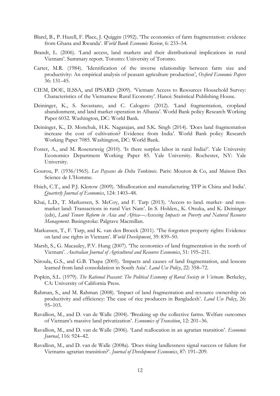- Blarel, B., P. Hazell, F. Place, J. Quiggin (1992). 'The economics of farm fragmentation: evidence from Ghana and Rwanda'. *World Bank Economic Review*, 6: 233–54.
- Brandt, L. (2006). 'Land access, land markets and their distributional implications in rural Vietnam'. Summary report. Toronto: University of Toronto.
- Carter, M.R. (1984). 'Identification of the inverse relationship between farm size and productivity: An empirical analysis of peasant agriculture production', *Oxford Economic Papers* 36: 131–45.
- CIEM, DOE, ILSSA, and IPSARD (2009). 'Vietnam Access to Resources Household Survey: Characteristics of the Vietnamese Rural Economy'. Hanoi: Statistical Publishing House.
- Deininger, K., S. Savastano, and C. Calogero (2012). 'Land fragmentation, cropland abandonment, and land market operation in Albania'. World Bank policy Research Working Paper 6032. Washington, DC: World Bank.
- Deininger, K., D. Monchuk, H.K. Nagarajan, and S.K. Singh (2014). 'Does land fragmentation increase the cost of cultivation? Evidence from India'. World Bank policy Research Working Paper 7085. Washington, DC: World Bank.
- Foster, A., and M. Rosenzweig (2010). 'Is there surplus labor in rural India?'. Yale University Economics Department Working Paper 85. Yale University. Rochester, NY: Yale University.
- Gourou, P. (1936/1965). *Les Paysans du Delta Tonkinois*. Paris: Mouton & Co, and Maison Des Science de L'Homme.
- Hsieh, C.T., and P.J. Klenow (2009). 'Misallocation and manufacturing TFP in China and India'. *Quarterly Journal of Economics*, 124: 1403–48.
- Khai, L.D., T. Markussen, S. McCoy, and F. Tarp (2013). 'Access to land. market- and nonmarket land: Transactions in rural Viet Nam'. In S. Holden., K. Otsuka, and K. Deininger (eds), *Land Tenure Reform in Asia and Africa—Assessing Impacts on Poverty and Natural Resource Management*. Basingstoke: Palgrave Macmillan.
- Markussen, T., F. Tarp, and K. van den Broeck (2011). 'The forgotten property rights: Evidence on land use rights in Vietnam'. *World Development*, 39: 839–50.
- Marsh, S., G. Macauley, P.V. Hung (2007). 'The economics of land fragmentation in the north of Vietnam'. *Australian Journal of Agricultural and Resource Economics*, 51: 195–211.
- Niroula, G.S., and G.B. Thapa (2005). 'Impacts and causes of land fragmentation, and lessons learned from land consolidation in South Asia'. *Land Use Policy*, 22: 358–72.
- Popkin, S.L. (1979). *The Rational Peasant: The Political Economy of Rural Society in Vietnam*. Berkeley, CA: University of California Press.
- Rahman, S., and M. Rahman (2008). 'Impact of land fragmentation and resource ownership on productivity and efficiency: The case of rice producers in Bangladesh'. *Land Use Policy*, 26: 95–103.
- Ravallion, M., and D. van de Walle (2004). 'Breaking up the collective farms. Welfare outcomes of Vietnam's massive land privatization'. *Economics of Transition*, 12: 201–36.
- Ravallion, M., and D. van de Walle (2006). 'Land reallocation in an agrarian transition'. *Economic Journal*, 116: 924–42.
- Ravallion, M., and D. van de Walle (2008a). 'Does rising landlessness signal success or failure for Vietnams agrarian transition?'. *Journal of Development Economics*, 87: 191–209.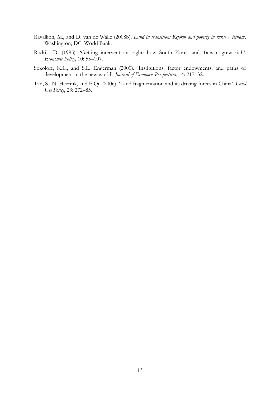- Ravallion, M., and D. van de Walle (2008b). *Land in transition: Reform and poverty in rural Vietnam*. Washington, DC: World Bank.
- Rodrik, D. (1995). 'Getting interventions right: how South Korea and Taiwan grew rich'. *Economic Policy*, 10: 55–107.
- Sokoloff, K.L., and S.L. Engerman (2000). 'Institutions, factor endowments, and paths of development in the new world'. *Journal of Economic Perspectives*, 14: 217–32.
- Tan, S., N. Heerink, and F Qu (2006). 'Land fragmentation and its driving forces in China'. *Land Use Policy*, 23: 272–85.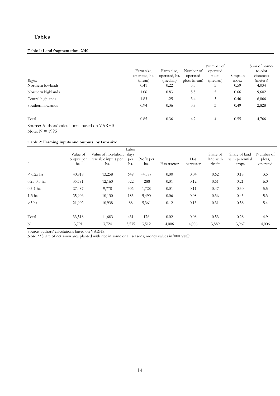# **Tables**

#### **Table 1: Land fragmentation, 2010**

| Region             | Farm size,<br>operated, ha.<br>(mean) | Farm size,<br>operated, ha.<br>(median) | Number of<br>operated<br>plots (mean) | Number of<br>operated<br>plots<br>(median) | Simpson<br>index | Sum of home-<br>to-plot<br>distances<br>(meters) |
|--------------------|---------------------------------------|-----------------------------------------|---------------------------------------|--------------------------------------------|------------------|--------------------------------------------------|
| Northern lowlands  | 0.41                                  | 0.22                                    | 5.5                                   | 5.                                         | 0.59             | 4,034                                            |
| Northern highlands | 1.06                                  | 0.83                                    | 5.5                                   | 5                                          | 0.66             | 9,602                                            |
| Central highlands  | 1.83                                  | 1.25                                    | 3.4                                   | 3                                          | 0.46             | 6,066                                            |
| Southern lowlands  | 0.94                                  | 0.36                                    | 3.7                                   | 3                                          | 0.49             | 2,828                                            |
| Total              | 0.85                                  | 0.36                                    | 4.7                                   | 4                                          | 0.55             | 4,766                                            |

Source: Authors' calculations based on VARHS

Note: N = 1995

#### **Table 2: Farming inputs and outputs, by farm size**

|                 | ິ                             |                                                   |                             |                   |             |                  |                                 |                                          |                                 |
|-----------------|-------------------------------|---------------------------------------------------|-----------------------------|-------------------|-------------|------------------|---------------------------------|------------------------------------------|---------------------------------|
| $\cdots$        | Value of<br>output per<br>ha. | Value of non-labor,<br>variable inputs per<br>ha. | Labor<br>days<br>per<br>ha. | Profit per<br>ha. | Has tractor | Has<br>harvester | Share of<br>land with<br>rice** | Share of land<br>with perennial<br>crops | Number of<br>plots,<br>operated |
| $< 0.25$ ha     | 40,818                        | 13,258                                            | 649                         | $-4,587$          | 0.00        | 0.04             | 0.62                            | 0.18                                     | 3.5                             |
| $0.25 - 0.5$ ha | 35,791                        | 12,160                                            | 522                         | $-288$            | 0.01        | 0.12             | 0.61                            | 0.21                                     | 6.0                             |
| $0.5 - 1$ ha    | 27,487                        | 9,778                                             | 306                         | 1,728             | 0.01        | 0.11             | 0.47                            | 0.30                                     | 5.5                             |
| $1-3$ ha        | 25,906                        | 10,130                                            | 183                         | 5,490             | 0.06        | 0.08             | 0.36                            | 0.43                                     | 5.3                             |
| $>3$ ha         | 21,902                        | 10,938                                            | 88                          | 5,361             | 0.12        | 0.13             | 0.31                            | 0.58                                     | 5.4                             |
| Total           | 33,518                        | 11,683                                            | 431                         | 176               | 0.02        | 0.08             | 0.53                            | 0.28                                     | 4.9                             |
| N               | 3,791                         | 3,724                                             | 3,535                       | 3,512             | 4,006       | 4,006            | 3,889                           | 3,967                                    | 4,006                           |

Source: authors' calculations based on VARHS.

Note: \*\*Share of net sown area planted with rice in some or all seasons; money values in '000 VND.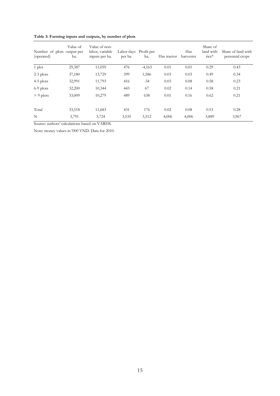|  | Table 3: Farming inputs and outputs, by number of plots |  |  |
|--|---------------------------------------------------------|--|--|
|  |                                                         |  |  |

| Number of plots output per<br>(operated) | Value of<br>ha. | Value of non-<br>labor, variable<br>inputs per ha. | Labor days Profit per<br>per ha. | ha.      | Has tractor | Has<br>harvester | Share of<br>land with<br>rice* | Share of land with<br>perennial crops |
|------------------------------------------|-----------------|----------------------------------------------------|----------------------------------|----------|-------------|------------------|--------------------------------|---------------------------------------|
| $1$ plot                                 | 29,387          | 11,059                                             | 476                              | $-4,163$ | 0.01        | 0.01             | 0.29                           | 0.43                                  |
| $2-3$ plots                              | 37,180          | 13,729                                             | 399                              | 1,586    | 0.03        | 0.03             | 0.49                           | 0.34                                  |
| $4-5$ plots                              | 32,991          | 11,793                                             | 416                              | $-34$    | 0.03        | 0.08             | 0.58                           | 0.23                                  |
| 6-9 plots                                | 32,200          | 10,344                                             | 443                              | 67       | 0.02        | 0.14             | 0.58                           | 0.21                                  |
| $> 9$ plots                              | 33,009          | 10,279                                             | 489                              | 638      | 0.01        | 0.16             | 0.62                           | 0.21                                  |
| Total                                    | 33,518          | 11,683                                             | 431                              | 176      | 0.02        | 0.08             | 0.53                           | 0.28                                  |
| N                                        | 3,791           | 3,724                                              | 3,535                            | 3,512    | 4,006       | 4,006            | 3,889                          | 3,967                                 |

Note: money values in '000 VND. Data for 2010.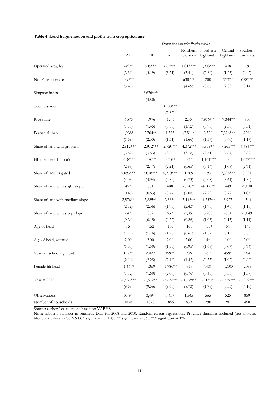|                                 |             |             |             | Dependent variable: Profits per ha. |                       |                      |                      |
|---------------------------------|-------------|-------------|-------------|-------------------------------------|-----------------------|----------------------|----------------------|
|                                 | All         | ${\rm All}$ | All         | Northern<br>lowlands                | Northern<br>highlands | Central<br>highlands | Southern<br>lowlands |
| Operated area, ha.              | 449**       | 605***      | 665***      | $1,013***$                          | $1,908***$            | 408                  | 79                   |
|                                 | (2.39)      | (3.19)      | (3.21)      | (3.41)                              | (2.80)                | (1.23)               | (0.42)               |
| No. Plots, operated             | 589***      |             |             | 638***                              | 200                   | 973**                | 628***               |
|                                 | (5.47)      |             |             | (4.69)                              | (0.66)                | (2.33)               | (3.14)               |
| Simpson index                   |             | $6,676***$  |             |                                     |                       |                      |                      |
|                                 |             | (4.50)      |             |                                     |                       |                      |                      |
| Total distance                  |             |             | $0.108***$  |                                     |                       |                      |                      |
|                                 |             |             | (2.82)      |                                     |                       |                      |                      |
| Rice share                      | $-1576$     | $-1976$     | $-1247$     | $-2,554$                            | 7,976***              | $-7,344**$           | $-800$               |
|                                 | (1.15)      | (1.45)      | (0.88)      | (1.12)                              | (3.99)                | (2.38)               | (0.31)               |
| Perennial share                 | 1,938*      | 2,704**     | 1,533       | $-3,511*$                           | 3,328                 | 7,326***             | $-2288$              |
|                                 | (1.69)      | (2.33)      | (1.31)      | (1.66)                              | (1.37)                | (3.40)               | (1.17)               |
| Share of land with problem      | $-2,912***$ | $-2,912***$ | $-2,720***$ | $-4,372***$                         | 3,879**               | $-7,265***$          | $-4,484***$          |
|                                 | (3.52)      | (3.53)      | (3.26)      | (3.18)                              | (2.51)                | (4.84)               | (2.89)               |
| Hh members 15 to 65             | $-618***$   | $-520**$    | $-473**$    | $-236$                              | $-1,161***$           | $-583$               | $-1,037***$          |
|                                 | (2.88)      | (2.47)      | (2.21)      | (0.65)                              | (3.14)                | (1.08)               | (2.71)               |
| Share of land irrigated         | 5,093***    | 5,018***    | 4,970***    | 1,389                               | 193                   | 9,398***             | 3,221                |
|                                 | (4.93)      | (4.94)      | (4.80)      | (0.73)                              | (0.08)                | (5.61)               | (1.52)               |
| Share of land with slight slope | 423         | 581         | 688         | 2,920**                             | $-4,506**$            | 449                  | $-2,038$             |
|                                 | (0.46)      | (0.63)      | (0.74)      | (2.08)                              | (2.29)                | (0.22)               | (1.05)               |
| Share of land with medium slope | 2,576**     | 2,825**     | $2,363*$    | 5,143**                             | $-4,237**$            | 3,927                | 4,544                |
|                                 | (2.12)      | (2.36)      | (1.95)      | (2.43)                              | (1.99)                | (1.48)               | (1.18)               |
| Share of land with steep slope  | 643         | 362         | 537         | $-1,057$                            | 3,288                 | $-684$               | $-5,649$             |
|                                 | (0.26)      | (0.15)      | (0.22)      | (0.26)                              | (1.03)                | (0.15)               | (1.11)               |
| Age of head                     | $-154$      | $-152$      | $-157$      | $-165$                              | $-471*$               | 51                   | $-147$               |
|                                 | (1.19)      | (1.16)      | (1.20)      | (0.65)                              | (1.87)                | (0.13)               | (0.59)               |
| Age of head, squared            | 2.00        | 2.00        | 2.00        | $2.00\,$                            | $4\ast$               | 0.00                 | 2.00                 |
|                                 | (1.53)      | (1.50)      | (1.53)      | (0.95)                              | (1.69)                | (0.07)               | (0.74)               |
| Years of schooling, head        | 197**       | 204**       | 199**       | 206                                 | $-69$                 | 459*                 | 164                  |
|                                 | (2.16)      | (2.25)      | (2.16)      | (1.42)                              | (0.55)                | (1.92)               | (0.86)               |
| Female hh head                  | $-1,469*$   | $-1369$     | $-1,780**$  | $-919$                              | 1401                  | $-1,103$             | $-2089$              |
|                                 | (1.72)      | (1.60)      | (2.00)      | (0.76)                              | (0.43)                | (0.56)               | (1.37)               |
| Year = $2010$                   | $-7,586***$ | $-7,572**$  | $-7,678**$  | $-10,729**$                         | $-2,053*$             | $-7,559***$          | $-6,829***$          |
|                                 | (9.68)      | (9.66)      | (9.60)      | (8.73)                              | (1.79)                | (5.53)               | (4.10)               |
| Observations                    | 3,494       | 3,494       | 3,457       | 1,545                               | 565                   | 525                  | 859                  |
| Number of households            | 1878        | 1878        | 1865        | 839                                 | 290                   | 281                  | 468                  |

**Table 4: Land fragmentation and profits from crop agriculture**

Note: robust z statistics in brackets. Data for 2008 and 2010. Random effects regressions. Province dummies included (not shown). Monetary values in '00 VND. \* significant at 10%; \*\* significant at 5%; \*\*\* significant at 1%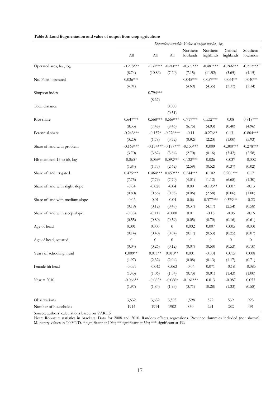|                                 | Dependent variable: Value of output per ha., log |                  |                         |                      |                       |                      |                      |  |
|---------------------------------|--------------------------------------------------|------------------|-------------------------|----------------------|-----------------------|----------------------|----------------------|--|
|                                 | All                                              | All              | All                     | Northern<br>lowlands | Northern<br>highlands | Central<br>highlands | Southern<br>lowlands |  |
| Operated area, ha., log         | $-0.278***$                                      | $-0.303***$      | $-0.214***$             | $-0.377***$          | $-0.487***$           | $-0.266***$          | $-0.212***$          |  |
|                                 | (8.74)                                           | (10.86)          | (7.20)                  | (7.15)               | (11.52)               | (3.65)               | (4.15)               |  |
| No. Plots, operated             | $0.036***$                                       |                  |                         | $0.045***$           | $0.057***$            | $0.064**$            | $0.040**$            |  |
|                                 | (4.91)                                           |                  |                         | (4.69)               | (4.35)                | (2.32)               | (2.34)               |  |
| Simpson index                   |                                                  | $0.794***$       |                         |                      |                       |                      |                      |  |
|                                 |                                                  | (8.67)           |                         |                      |                       |                      |                      |  |
| Total distance                  |                                                  |                  | 0.000                   |                      |                       |                      |                      |  |
|                                 |                                                  |                  | (0.51)                  |                      |                       |                      |                      |  |
| Rice share                      | $0.647***$                                       | $0.568***$       | $0.669***$              | $0.717***$           | $0.532***$            | 0.08                 | $0.818***$           |  |
|                                 | (8.33)                                           | (7.48)           | (8.46)                  | (6.75)               | (4.93)                | (0.40)               | (4.96)               |  |
| Perennial share                 | $-0.243***$                                      | $-0.137*$        | $-0.276***$             | $-0.11$              | $-0.276**$            | 0.131                | $-0.864***$          |  |
|                                 | (3.20)                                           | (1.78)           | (3.72)                  | (0.92)               | (2.23)                | (1.00)               | (5.93)               |  |
| Share of land with problem      | $-0.169***$                                      |                  | $-0.174***$ $-0.177***$ | $-0.153***$          | 0.009                 | $-0.300***$          | $-0.278***$          |  |
|                                 | (3.70)                                           | (3.82)           | (3.84)                  | (2.70)               | (0.16)                | (3.42)               | (2.58)               |  |
| Hh members 15 to 65, log        | $0.063*$                                         | $0.059*$         | $0.092***$              | $0.132***$           | 0.026                 | 0.037                | $-0.002$             |  |
|                                 | (1.84)                                           | (1.75)           | (2.62)                  | (2.59)               | (0.52)                | (0.37)               | (0.02)               |  |
| Share of land irrigated         | $0.475***$                                       | $0.464***$       | $0.459***$              | $0.244***$           | 0.102                 | $0.906***$           | 0.17                 |  |
|                                 | (7.75)                                           | (7.79)           | (7.70)                  | (4.01)               | (1.12)                | (6.68)               | (1.30)               |  |
| Share of land with slight slope | $-0.04$                                          | $-0.028$         | $-0.04$                 | 0.00                 | $-0.195**$            | 0.007                | $-0.13$              |  |
|                                 | (0.80)                                           | (0.56)           | (0.83)                  | (0.06)               | (2.58)                | (0.06)               | (1.00)               |  |
| Share of land with medium slope | $-0.02$                                          | 0.01             | $-0.04$                 | 0.06                 | $-0.377***$           | $0.379**$            | $-0.22$              |  |
|                                 | (0.19)                                           | (0.12)           | (0.49)                  | (0.37)               | (4.17)                | (2.54)               | (0.58)               |  |
| Share of land with steep slope  | $-0.084$                                         | $-0.117$         | $-0.088$                | 0.01                 | $-0.18$               | $-0.05$              | $-0.16$              |  |
|                                 | (0.55)                                           | (0.80)           | (0.59)                  | (0.05)               | (0.70)                | (0.16)               | (0.61)               |  |
| Age of head                     | 0.001                                            | 0.003            | $\theta$                | 0.002                | 0.007                 | 0.005                | $-0.001$             |  |
|                                 | (0.14)                                           | (0.40)           | (0.04)                  | (0.17)               | (0.53)                | (0.25)               | (0.07)               |  |
| Age of head, squared            | $\boldsymbol{0}$                                 | $\boldsymbol{0}$ | $\overline{0}$          | $\theta$             | $\boldsymbol{0}$      | $\boldsymbol{0}$     | $\boldsymbol{0}$     |  |
|                                 | (0.04)                                           | (0.26)           | (0.12)                  | (0.07)               | (0.50)                | (0.53)               | (0.10)               |  |
| Years of schooling, head        | $0.009**$                                        | $0.011**$        | $0.010**$               | 0.001                | $-0.001$              | 0.015                | 0.008                |  |
|                                 | (1.97)                                           | (2.32)           | (2.04)                  | (0.08)               | (0.13)                | (1.17)               | (0.71)               |  |
| Female hh head                  | $-0.059$                                         | $-0.043$         | $-0.063$                | $-0.04$              | 0.071                 | $-0.18$              | $-0.085$             |  |
|                                 | (1.43)                                           | (1.06)           | (1.54)                  | (0.73)               | (0.91)                | (1.43)               | (1.00)               |  |
| Year = $2010$                   | $-0.066**$                                       | $-0.062*$        | $-0.066*$               | $-0.161***$          | 0.013                 | $-0.087$             | 0.053                |  |
|                                 | (1.97)                                           | (1.84)           | (1.93)                  | (3.71)               | (0.28)                | (1.33)               | (0.58)               |  |
| Observations                    | 3,632                                            | 3,632            | 3,593                   | 1,598                | 572                   | 539                  | 923                  |  |
| Number of households            | 1914                                             | 1914             | 1902                    | 850                  | 291                   | 282                  | 491                  |  |

**Table 5: Land fragmentation and value of output from crop agriculture**

Note: Robust z statistics in brackets. Data for 2008 and 2010. Random effects regressions. Province dummies included (not shown). Monetary values in '00 VND. \* significant at 10%; \*\* significant at 5%; \*\*\* significant at 1%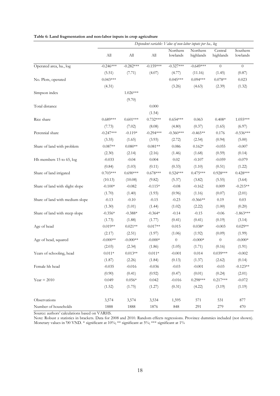|                                 |                             |             |             |                      | Dependent variable: Value of non-labor inputs per ha., log |                      |                      |
|---------------------------------|-----------------------------|-------------|-------------|----------------------|------------------------------------------------------------|----------------------|----------------------|
|                                 | $\mathop{\rm All}\nolimits$ | All         | All         | Northern<br>lowlands | Northern<br>highlands                                      | Central<br>highlands | Southern<br>lowlands |
| Operated area, ha., log         | $-0.246***$                 | $-0.282***$ | $-0.159***$ | $-0.327***$          | $-0.649***$                                                | $\overline{0}$       | $\theta$             |
|                                 | (5.51)                      | (7.71)      | (4.07)      | (4.77)               | (11.16)                                                    | (1.45)               | (0.87)               |
| No. Plots, operated             | $0.043***$                  |             |             | $0.045***$           | $0.094***$                                                 | $0.078**$            | 0.023                |
|                                 | (4.31)                      |             |             | (3.26)               | (4.63)                                                     | (2.39)               | (1.32)               |
| Simpson index                   |                             | $1.026***$  |             |                      |                                                            |                      |                      |
|                                 |                             | (9.70)      |             |                      |                                                            |                      |                      |
| Total distance                  |                             |             | 0.000       |                      |                                                            |                      |                      |
|                                 |                             |             | (1.54)      |                      |                                                            |                      |                      |
| Rice share                      | $0.689***$                  | $0.601***$  | $0.732***$  | $0.654***$           | 0.063                                                      | $0.408*$             | 1.055***             |
|                                 | (7.73)                      | (7.02)      | (8.08)      | (4.80)               | (0.37)                                                     | (1.65)               | (6.97)               |
| Perennial share                 | $-0.247***$                 | $-0.119*$   | $-0.294***$ | $-0.360***$          | $-0.465**$                                                 | 0.176                | $-0.536***$          |
|                                 | (3.35)                      | (1.65)      | (3.93)      | (2.72)               | (2.54)                                                     | (0.94)               | (5.00)               |
| Share of land with problem      | $0.087**$                   | $0.080**$   | $0.081**$   | 0.086                | $0.162*$                                                   | $-0.055$             | $-0.007$             |
|                                 | (2.30)                      | (2.14)      | (2.16)      | (1.46)               | (1.68)                                                     | (0.59)               | (0.14)               |
| Hh members 15 to 65, log        | $-0.033$                    | $-0.04$     | 0.004       | $0.02\,$             | $-0.107$                                                   | $-0.059$             | $-0.079$             |
|                                 | (0.84)                      | (1.03)      | (0.11)      | (0.33)               | (1.10)                                                     | (0.51)               | (1.22)               |
| Share of land irrigated         | $0.703***$                  | $0.690***$  | $0.678***$  | $0.524***$           | $0.475***$                                                 | $0.928***$           | $0.428***$           |
|                                 | (10.13)                     | (10.08)     | (9.82)      | (5.37)               | (3.82)                                                     | (5.55)               | (3.64)               |
| Share of land with slight slope | $-0.100*$                   | $-0.082$    | $-0.115*$   | $-0.08$              | $-0.162$                                                   | 0.009                | $-0.215**$           |
|                                 | (1.70)                      | (1.40)      | (1.93)      | (0.96)               | (1.16)                                                     | (0.07)               | (2.01)               |
| Share of land with medium slope | $-0.13$                     | $-0.10$     | $-0.15$     | $-0.23$              | $-0.366**$                                                 | 0.19                 | 0.03                 |
|                                 | (1.30)                      | (1.01)      | (1.44)      | (1.02)               | (2.22)                                                     | (1.00)               | (0.20)               |
| Share of land with steep slope  | $-0.356*$                   | $-0.388*$   | $-0.364*$   | $-0.14$              | $-0.15$                                                    | $-0.06$              | $-1.863***$          |
|                                 | (1.73)                      | (1.88)      | (1.77)      | (0.41)               | (0.41)                                                     | (0.19)               | (3.14)               |
| Age of head                     | $0.019**$                   | $0.021**$   | $0.017**$   | 0.015                | $0.038*$                                                   | $-0.003$             | $0.029**$            |
|                                 | (2.17)                      | (2.51)      | (1.97)      | (1.06)               | (1.92)                                                     | (0.09)               | (1.99)               |
| Age of head, squared            | $-0.000**$                  | $-0.000**$  | $-0.000*$   | $\boldsymbol{0}$     | $-0.000*$                                                  | $\overline{0}$       | $-0.000*$            |
|                                 | (2.03)                      | (2.34)      | (1.86)      | (1.05)               | (1.71)                                                     | (0.16)               | (1.91)               |
| Years of schooling, head        | $0.011*$                    | $0.013**$   | $0.011*$    | $-0.001$             | 0.014                                                      | $0.039***$           | $-0.002$             |
|                                 | (1.87)                      | (2.26)      | (1.84)      | (0.13)               | (1.37)                                                     | (2.62)               | (0.14)               |
| Female hh head                  | $-0.035$                    | $-0.016$    | $-0.036$    | $-0.03$              | $-0.001$                                                   | $-0.03$              | $-0.123**$           |
|                                 | (0.90)                      | (0.41)      | (0.92)      | (0.47)               | (0.01)                                                     | (0.24)               | (2.01)               |
| $Year = 2010$                   | 0.049                       | $0.056*$    | 0.042       | $-0.016$             | $0.298***$                                                 | $0.217***$           | $-0.072$             |
|                                 | (1.52)                      | (1.75)      | (1.27)      | (0.31)               | (4.22)                                                     | (3.19)               | (1.19)               |
| Observations                    | 3,574                       | 3,574       | 3,534       | 1,595                | 571                                                        | 531                  | 877                  |
| Number of households            | 1888                        | 1888        | 1876        | 848                  | 291                                                        | 279                  | 470                  |

**Table 6: Land fragmentation and non-labor inputs in crop agriculture**

Note: Robust z statistics in brackets. Data for 2008 and 2010. Random effects regressions. Province dummies included (not shown). Monetary values in '00 VND. \* significant at 10%; \*\* significant at 5%; \*\*\* significant at 1%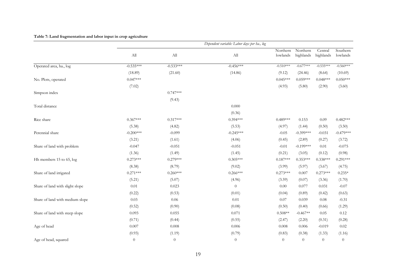#### **Table 7: Land fragmentation and labor input in crop agriculture**

|                                 |                |             | Dependent variable: Labor days per ha., log |                      |                       |                      |                      |
|---------------------------------|----------------|-------------|---------------------------------------------|----------------------|-----------------------|----------------------|----------------------|
|                                 | All            | ${\rm All}$ | $\mathop{\rm All}\nolimits$                 | Northern<br>lowlands | Northern<br>highlands | Central<br>highlands | Southern<br>lowlands |
| Operated area, ha., log         | $-0.535***$    | $-0.533***$ | $-0.456***$                                 | $-0.510***$          | $-0.677***$           | $-0.535***$          | $-0.560***$          |
|                                 | (18.89)        | (21.60)     | (14.86)                                     | (9.12)               | (24.46)               | (8.64)               | (10.69)              |
| No. Plots, operated             | $0.047***$     |             |                                             | $0.045***$           | $0.059***$            | $0.048***$           | $0.050***$           |
|                                 | (7.02)         |             |                                             | (4.93)               | (5.80)                | (2.90)               | (3.60)               |
| Simpson index                   |                | $0.747***$  |                                             |                      |                       |                      |                      |
|                                 |                | (9.43)      |                                             |                      |                       |                      |                      |
| Total distance                  |                |             | 0.000                                       |                      |                       |                      |                      |
|                                 |                |             | (0.36)                                      |                      |                       |                      |                      |
| Rice share                      | $0.367***$     | $0.317***$  | $0.394***$                                  | $0.489***$           | 0.153                 | 0.09                 | $0.482***$           |
|                                 | (5.38)         | (4.82)      | (5.53)                                      | (4.97)               | (1.44)                | (0.50)               | (3.50)               |
| Perennial share                 | $-0.200***$    | $-0.099$    | $-0.245***$                                 | $-0.05$              | $-0.399***$           | $-0.031$             | $-0.479***$          |
|                                 | (3.21)         | (1.61)      | (4.06)                                      | (0.45)               | (2.89)                | (0.27)               | (3.72)               |
| Share of land with problem      | $-0.047$       | $-0.051$    | $-0.051$                                    | $-0.01$              | $-0.199***$           | 0.01                 | $-0.075$             |
|                                 | (1.36)         | (1.49)      | (1.45)                                      | (0.21)               | (3.05)                | (0.12)               | (0.98)               |
| Hh members 15 to 65, log        | $0.273***$     | $0.279***$  | $0.305***$                                  | $0.187***$           | $0.353***$            | $0.338***$           | $0.291***$           |
|                                 | (8.38)         | (8.79)      | (9.02)                                      | (3.99)               | (5.97)                | (3.67)               | (4.75)               |
| Share of land irrigated         | $0.271***$     | $0.260***$  | $0.266***$                                  | $0.273***$           | 0.007                 | $0.273***$           | $0.235*$             |
|                                 | (5.21)         | (5.07)      | (4.96)                                      | (3.59)               | (0.07)                | (3.36)               | (1.70)               |
| Share of land with slight slope | 0.01           | 0.023       | $\theta$                                    | 0.00                 | 0.077                 | 0.031                | $-0.07$              |
|                                 | (0.22)         | (0.53)      | (0.01)                                      | (0.04)               | (0.89)                | (0.42)               | (0.63)               |
| Share of land with medium slope | 0.03           | 0.06        | 0.01                                        | 0.07                 | 0.039                 | 0.08                 | $-0.31$              |
|                                 | (0.52)         | (0.90)      | (0.08)                                      | (0.50)               | (0.40)                | (0.66)               | (1.29)               |
| Share of land with steep slope  | 0.093          | 0.055       | 0.071                                       | $0.508**$            | $-0.467**$            | 0.05                 | 0.12                 |
|                                 | (0.71)         | (0.44)      | (0.55)                                      | (2.47)               | (2.20)                | (0.31)               | (0.28)               |
| Age of head                     | 0.007          | 0.008       | 0.006                                       | 0.008                | 0.006                 | $-0.019$             | 0.02                 |
|                                 | (0.93)         | (1.19)      | (0.79)                                      | (0.83)               | (0.38)                | (1.33)               | (1.16)               |
| Age of head, squared            | $\overline{0}$ | $\theta$    | $\theta$                                    | $\overline{0}$       | $\theta$              | $\overline{0}$       | $\theta$             |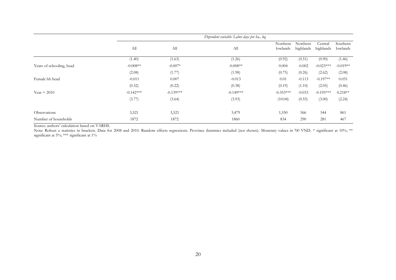|                          |             |             | Dependent variable: Labor days per ha., log |                      |                       |                      |                      |
|--------------------------|-------------|-------------|---------------------------------------------|----------------------|-----------------------|----------------------|----------------------|
|                          | All         | All         | All                                         | Northern<br>lowlands | Northern<br>highlands | Central<br>highlands | Southern<br>lowlands |
|                          | (1.40)      | (1.63)      | (1.26)                                      | (0.92)               | (0.51)                | (0.90)               | (1.46)               |
| Years of schooling, head | $-0.008**$  | $-0.007*$   | $-0.008**$                                  | 0.004                | $-0.002$              | $-0.023***$          | $-0.019**$           |
|                          | (2.08)      | (1.77)      | (1.98)                                      | (0.75)               | (0.26)                | (2.62)               | (2.08)               |
| Female hh head           | $-0.011$    | 0.007       | $-0.013$                                    | 0.01                 | $-0.113$              | $-0.197**$           | 0.031                |
|                          | (0.32)      | (0.22)      | (0.38)                                      | (0.19)               | (1.10)                | (2.05)               | (0.46)               |
| $Year = 2010$            | $-0.142***$ | $-0.139***$ | $-0.149***$                                 | $-0.353***$          | $-0.033$              | $-0.195***$          | $0.218**$            |
|                          | (3.77)      | (3.64)      | (3.93)                                      | (10.04)              | (0.55)                | (3.00)               | (2.24)               |
| Observations             | 3,521       | 3,521       | 3,479                                       | 1,550                | 566                   | 544                  | 861                  |
| Number of households     | 1872        | 1872        | 1860                                        | 834                  | 290                   | 281                  | 467                  |

Note: Robust z statistics in brackets. Data for 2008 and 2010. Random effects regressions. Province dummies included (not shown). Monetary values in '00 VND. \* significant at 10%; \*\* significant at 5%; \*\*\* significant at 1%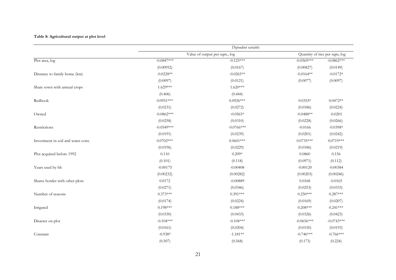#### **Table 8: Agricultural output at plot level**

|                                    |              | Dependent variable:           |              |                               |
|------------------------------------|--------------|-------------------------------|--------------|-------------------------------|
|                                    |              | Value of output per sqm., log |              | Quantity of rice per sqm, log |
| Plot area, log                     | $-0.0847***$ | $-0.123***$                   | $-0.0569***$ | $-0.0862***$                  |
|                                    | (0.00952)    | (0.0167)                      | (0.00827)    | (0.0149)                      |
| Distance to family home (km)       | $-0.0228**$  | $-0.0265**$                   | $-0.0164**$  | $-0.0172*$                    |
|                                    | (0.0097)     | (0.0121)                      | (0.0077)     | (0.0097)                      |
| Share sown with annual crops       | $1.629***$   | $1.620***$                    |              |                               |
|                                    | (0.406)      | (0.444)                       |              |                               |
| Redbook                            | $0.0951***$  | $0.0926***$                   | $0.0355*$    | $0.0472**$                    |
|                                    | (0.0231)     | (0.0272)                      | (0.0186)     | (0.0224)                      |
| Owned                              | $-0.0862***$ | $-0.0565*$                    | $-0.0488**$  | $-0.0201$                     |
|                                    | (0.0258)     | (0.0310)                      | (0.0228)     | (0.0266)                      |
| Restrictions                       | $-0.0549***$ | $-0.0766***$                  | $-0.0166$    | $-0.0398*$                    |
|                                    | (0.0191)     | (0.0239)                      | (0.0201)     | (0.0242)                      |
| Investment in soil and water cons. | $0.0702***$  | $0.0601***$                   | $0.0735***$  | $0.0719***$                   |
|                                    | (0.0196)     | (0.0229)                      | (0.0186)     | (0.0219)                      |
| Plot acquired before 1992          | 0.110        | $0.209*$                      | 0.0860       | 0.156                         |
|                                    | (0.101)      | (0.118)                       | (0.0971)     | (0.112)                       |
| Years used by hh                   | $-0.00175$   | $-0.00408$                    | $-0.00120$   | $-0.00384$                    |
|                                    | (0.00232)    | (0.00282)                     | (0.00203)    | (0.00246)                     |
| Shares border with other plots     | 0.0172       | $-0.00889$                    | 0.0168       | $-0.0165$                     |
|                                    | (0.0271)     | (0.0346)                      | (0.0253)     | (0.0333)                      |
| Number of seasons                  | $0.373***$   | $0.391***$                    | $0.250***$   | $0.287***$                    |
|                                    | (0.0174)     | (0.0224)                      | (0.0169)     | (0.0207)                      |
| Irrigated                          | $0.198***$   | $0.188***$                    | $0.208***$   | $0.241***$                    |
|                                    | (0.0330)     | (0.0433)                      | (0.0326)     | (0.0423)                      |
| Disaster on plot                   | $-0.104***$  | $-0.104***$                   | $-0.0656***$ | $-0.0743***$                  |
|                                    | (0.0161)     | (0.0204)                      | (0.0150)     | (0.0193)                      |
| Constant                           | $-0.938*$    | $-1.181**$                    | $-0.746***$  | $-0.766***$                   |
|                                    | (0.507)      | (0.568)                       | (0.173)      | (0.224)                       |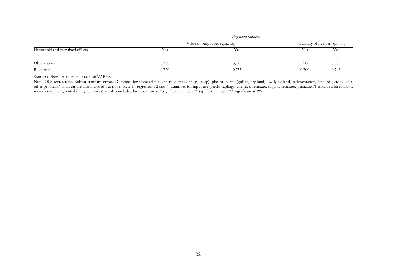|                                  | Dependent variable:           |       |                               |       |  |  |  |
|----------------------------------|-------------------------------|-------|-------------------------------|-------|--|--|--|
|                                  | Value of output per sqm., log |       | Quantity of rice per sqm, log |       |  |  |  |
| Household and year fixed effects | Yes                           | Yes   | Yes                           | Yes   |  |  |  |
|                                  |                               |       |                               |       |  |  |  |
| Observations                     | 5,308                         | 3,727 | 5,286                         | 3,707 |  |  |  |
| R-squared                        | 0.720                         | 0.755 | 0.700                         | 0.743 |  |  |  |

Note: OLS regressions. Robust standard errors. Dummies for slope (flat, slight, moderately steep, steep), plot problems (gullies, dry land, low-lying land, sedimentation, landslide, stony soils, other problems) and year are also included but not shown. In regressions 2 and 4, dummies for input use (seeds, saplings, chemical fertilizer, organic fertilizer, pesticides/herbicides, hired labor, rented equipment, rented draught animals) are also included but not shown. \* significant at 10%; \*\* significant at 5%; \*\*\* significant at 1%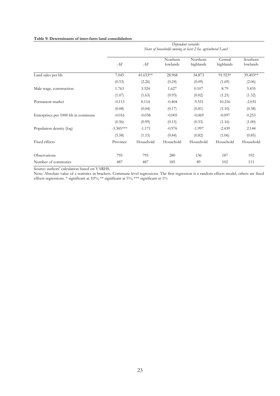#### **Table 9: Determinants of inter-farm land consolidation**

|                                    | Dependent variable:<br>Share of households owning at least 2 ha. agricultural Land |           |                      |                       |                      |                      |  |  |  |
|------------------------------------|------------------------------------------------------------------------------------|-----------|----------------------|-----------------------|----------------------|----------------------|--|--|--|
|                                    | All                                                                                | All       | Northern<br>lowlands | Northern<br>highlands | Central<br>highlands | Southern<br>lowlands |  |  |  |
| Land sales per hh                  | 7.045                                                                              | 41.653**  | 28.968               | 34.873                | 91.923*              | 39.403**             |  |  |  |
|                                    | (0.53)                                                                             | (2.26)    | (0.24)               | (0.09)                | (1.69)               | (2.06)               |  |  |  |
| Male wage, construction            | 1.763                                                                              | 3.324     | 1.627                | 0.107                 | 8.79                 | 5.435                |  |  |  |
|                                    | (1.07)                                                                             | (1.63)    | (0.93)               | (0.02)                | (1.21)               | (1.32)               |  |  |  |
| Permanent market                   | $-0.113$                                                                           | 0.114     | $-0.404$             | $-9.551$              | 10.216               | $-2.031$             |  |  |  |
|                                    | (0.08)                                                                             | (0.04)    | (0.17)               | (0.81)                | (1.10)               | (0.38)               |  |  |  |
| Enterprises per 1000 hh in commune | $-0.016$                                                                           | $-0.038$  | $-0.005$             | $-0.069$              | $-0.097$             | 0.253                |  |  |  |
|                                    | (0.56)                                                                             | (0.99)    | (0.15)               | (0.53)                | (1.16)               | (1.00)               |  |  |  |
| Population density (log)           | $-3.385***$                                                                        | $-1.171$  | $-0.976$             | $-1.997$              | $-2.439$             | 2.144                |  |  |  |
|                                    | (5.58)                                                                             | (1.15)    | (0.84)               | (0.82)                | (1.06)               | (0.85)               |  |  |  |
| Fixed effects                      | Province                                                                           | Household | Household            | Household             | Household            | Household            |  |  |  |
| Observations                       | 795                                                                                | 795       | 280                  | 136                   | 187                  | 192                  |  |  |  |
| Number of communes                 | 487                                                                                | 487       | 185                  | 89                    | 102                  | 111                  |  |  |  |

Source: authors' calculation based on VARHS.

Note: Absolute value of z statistics in brackets. Commune level regressions. The first regression is a random effects model, others are fixed effects regressions. \* significant at 10%; \*\* significant at 5%; \*\*\* significant at 1%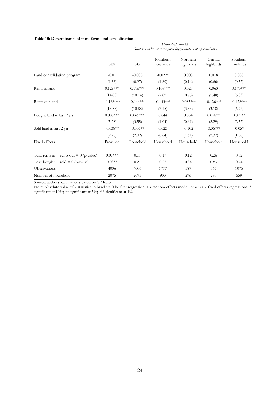#### **Table 10: Determinants of intra-farm land consolidation**

|                                            | Dependent variable:<br>Simpson index of intra-farm fragmentation of operated area |             |                      |                       |                      |                      |  |  |
|--------------------------------------------|-----------------------------------------------------------------------------------|-------------|----------------------|-----------------------|----------------------|----------------------|--|--|
|                                            | All                                                                               | All         | Northern<br>lowlands | Northern<br>highlands | Central<br>highlands | Southern<br>lowlands |  |  |
| Land consolidation program                 | $-0.01$                                                                           | $-0.008$    | $-0.022*$            | 0.003                 | 0.018                | 0.008                |  |  |
|                                            | (1.33)                                                                            | (0.97)      | (1.89)               | (0.16)                | (0.66)               | (0.52)               |  |  |
| Rents in land                              | $0.129***$                                                                        | $0.116***$  | $0.108***$           | 0.023                 | 0.063                | $0.170***$           |  |  |
|                                            | (14.03)                                                                           | (10.14)     | (7.02)               | (0.75)                | (1.48)               | (6.83)               |  |  |
| Rents out land                             | $-0.168***$                                                                       | $-0.144***$ | $-0.143***$          | $-0.085***$           | $-0.126***$          | $-0.178***$          |  |  |
|                                            | (15.53)                                                                           | (10.88)     | (7.15)               | (3.33)                | (3.18)               | (6.72)               |  |  |
| Bought land in last 2 yrs                  | $0.088***$                                                                        | $0.065***$  | 0.044                | 0.034                 | $0.058**$            | $0.099**$            |  |  |
|                                            | (5.28)                                                                            | (3.55)      | (1.04)               | (0.61)                | (2.29)               | (2.52)               |  |  |
| Sold land in last 2 yrs                    | $-0.038**$                                                                        | $-0.037**$  | 0.023                | $-0.102$              | $-0.067**$           | $-0.057$             |  |  |
|                                            | (2.25)                                                                            | (2.02)      | (0.64)               | (1.61)                | (2.37)               | (1.56)               |  |  |
| Fixed effects                              | Province                                                                          | Household   | Household            | Household             | Household            | Household            |  |  |
| Test: rents in + rents out = $0$ (p-value) | $0.01***$                                                                         | 0.11        | 0.17                 | 0.12                  | 0.26                 | 0.82                 |  |  |
| Test: bought + sold = $0$ (p-value)        | $0.03**$                                                                          | 0.27        | 0.23                 | 0.34                  | 0.83                 | 0.44                 |  |  |
| Observations                               | 4006                                                                              | 4006        | 1777                 | 587                   | 567                  | 1075                 |  |  |
| Number of household                        | 2075                                                                              | 2075        | 930                  | 296                   | 290                  | 559                  |  |  |

Source: authors' calculations based on VARHS.

Note: Absolute value of z statistics in brackets. The first regression is a random effects model, others are fixed effects regressions. \* significant at 10%; \*\* significant at 5%; \*\*\* significant at 1%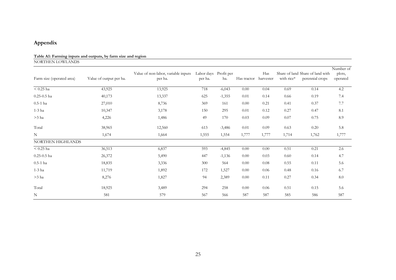# **Appendix**

| Table A1: Farming inputs and outputs, by farm size and region |  |
|---------------------------------------------------------------|--|
| NORTHEN LOWLANDS                                              |  |

| Farm size (operated area) | Value of output per ha. | Value of non-labor, variable inputs<br>per ha. | Labor days Profit per<br>per ha. | ha.      | Has tractor | Has<br>harvester | with rice* | Share of land Share of land with<br>perennial crops | Number of<br>plots,<br>operated |
|---------------------------|-------------------------|------------------------------------------------|----------------------------------|----------|-------------|------------------|------------|-----------------------------------------------------|---------------------------------|
| $< 0.25$ ha               | 43,925                  | 13,925                                         | 718                              | $-6,043$ | 0.00        | 0.04             | 0.69       | 0.14                                                | 4.2                             |
| $0.25 - 0.5$ ha           | 40,173                  | 13,337                                         | 625                              | $-1,355$ | 0.01        | 0.14             | 0.66       | 0.19                                                | 7.4                             |
| $0.5-1$ ha                | 27,010                  | 8,736                                          | 369                              | 161      | 0.00        | 0.21             | 0.41       | 0.37                                                | 7.7                             |
| $1-3$ ha                  | 10,347                  | 3,178                                          | 150                              | 295      | 0.01        | 0.12             | 0.27       | 0.47                                                | 8.1                             |
| $>3$ ha                   | 4,226                   | 1,486                                          | 49                               | 170      | 0.03        | 0.09             | 0.07       | 0.75                                                | 8.9                             |
| Total                     | 38,965                  | 12,560                                         | 613                              | $-3,486$ | 0.01        | 0.09             | 0.63       | 0.20                                                | 5.8                             |
| $\mathbf N$               | 1,674                   | 1,664                                          | 1,555                            | 1,554    | 1,777       | 1,777            | 1,714      | 1,762                                               | 1,777                           |
| NORTHEN HIGHLANDS         |                         |                                                |                                  |          |             |                  |            |                                                     |                                 |
| $< 0.25$ ha               | 36,513                  | 6,837                                          | 593                              | $-4,845$ | 0.00        | 0.00             | 0.51       | 0.21                                                | 2.6                             |
| $0.25 - 0.5$ ha           | 26,372                  | 5,490                                          | 447                              | $-1,136$ | 0.00        | 0.03             | 0.60       | 0.14                                                | 4.7                             |
| $0.5-1$ ha                | 18,835                  | 3,336                                          | 300                              | 564      | 0.00        | 0.08             | 0.55       | 0.11                                                | 5.6                             |
| $1-3$ ha                  | 11,719                  | 1,892                                          | 172                              | 1,527    | 0.00        | 0.06             | 0.48       | 0.16                                                | 6.7                             |
| $>3$ ha                   | 8,276                   | 1,827                                          | 94                               | 2,389    | 0.00        | 0.11             | 0.27       | 0.34                                                | 8.0                             |
| Total                     | 18,925                  | 3,489                                          | 294                              | 258      | 0.00        | 0.06             | 0.51       | 0.15                                                | 5.6                             |
| $\mathbf N$               | 581                     | 579                                            | 567                              | 566      | 587         | 587              | 585        | 586                                                 | 587                             |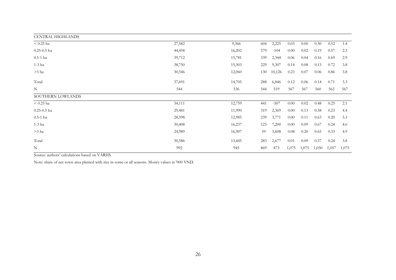| CENTRAL HIGHLANDS |        |        |     |        |       |       |       |       |       |
|-------------------|--------|--------|-----|--------|-------|-------|-------|-------|-------|
| $< 0.25$ ha       | 27,582 | 9,366  | 604 | 2,225  | 0.03  | 0.00  | 0.30  | 0.52  | 1.4   |
| $0.25 - 0.5$ ha   | 44,458 | 16,202 | 579 | $-104$ | 0.00  | 0.02  | 0.19  | 0.57  | 2.3   |
| $0.5-1$ ha        | 39,712 | 15,781 | 339 | 2,344  | 0.06  | 0.04  | 0.16  | 0.69  | 2.9   |
| $1-3$ ha          | 38,750 | 15,303 | 229 | 9,307  | 0.14  | 0.08  | 0.13  | 0.72  | 3.8   |
| $>3$ ha           | 30,546 | 12,060 | 130 | 10,126 | 0.23  | 0.07  | 0.06  | 0.86  | 3.8   |
| Total             | 37,691 | 14,705 | 288 | 6,846  | 0.12  | 0.06  | 0.14  | 0.71  | 3.3   |
| N                 | 544    | 536    | 544 | 519    | 567   | 567   | 560   | 562   | 567   |
| SOUTHERN LOWLANDS |        |        |     |        |       |       |       |       |       |
| $< 0.25$ ha       | 34,111 | 12,759 | 441 | $-507$ | 0.00  | 0.02  | 0.48  | 0.25  | 2.1   |
| $0.25 - 0.5$ ha   | 29,481 | 11,990 | 319 | 2,369  | 0.00  | 0.13  | 0.58  | 0.23  | 4.4   |
| $0.5-1$ ha        | 28,598 | 12,985 | 239 | 3,771  | 0.00  | 0.11  | 0.63  | 0.20  | 5.3   |
| $1-3$ ha          | 30,408 | 16,237 | 123 | 7,200  | 0.00  | 0.09  | 0.67  | 0.24  | 4.6   |
| $>3$ ha           | 24,989 | 16,907 | 59  | 3,608  | 0.08  | 0.20  | 0.65  | 0.33  | 4.9   |
| Total             | 30,586 | 13,445 | 283 | 2,677  | 0.01  | 0.09  | 0.57  | 0.24  | 3.8   |
| N                 | 992    | 945    | 869 | 873    | 1,075 | 1,075 | 1,030 | 1,057 | 1,075 |

Note: share of net sown area planted with rice in some or all seasons. Money values in '000 VND.